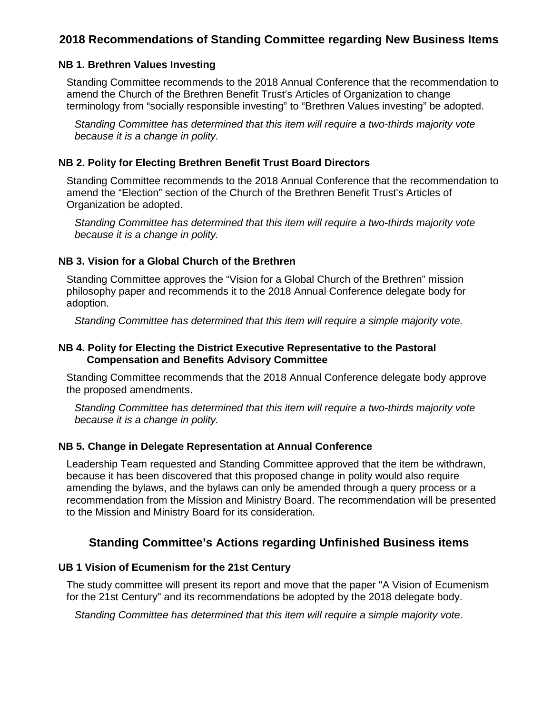# **2018 Recommendations of Standing Committee regarding New Business Items**

# **NB 1. Brethren Values Investing**

Standing Committee recommends to the 2018 Annual Conference that the recommendation to amend the Church of the Brethren Benefit Trust's Articles of Organization to change terminology from "socially responsible investing" to "Brethren Values investing" be adopted.

*Standing Committee has determined that this item will require a two-thirds majority vote because it is a change in polity.* 

#### **NB 2. Polity for Electing Brethren Benefit Trust Board Directors**

Standing Committee recommends to the 2018 Annual Conference that the recommendation to amend the "Election" section of the Church of the Brethren Benefit Trust's Articles of Organization be adopted.

*Standing Committee has determined that this item will require a two-thirds majority vote because it is a change in polity.* 

### **NB 3. Vision for a Global Church of the Brethren**

Standing Committee approves the "Vision for a Global Church of the Brethren" mission philosophy paper and recommends it to the 2018 Annual Conference delegate body for adoption.

*Standing Committee has determined that this item will require a simple majority vote.* 

### **NB 4. Polity for Electing the District Executive Representative to the Pastoral Compensation and Benefits Advisory Committee**

Standing Committee recommends that the 2018 Annual Conference delegate body approve the proposed amendments.

*Standing Committee has determined that this item will require a two-thirds majority vote because it is a change in polity.* 

### **NB 5. Change in Delegate Representation at Annual Conference**

Leadership Team requested and Standing Committee approved that the item be withdrawn, because it has been discovered that this proposed change in polity would also require amending the bylaws, and the bylaws can only be amended through a query process or a recommendation from the Mission and Ministry Board. The recommendation will be presented to the Mission and Ministry Board for its consideration.

# **Standing Committee's Actions regarding Unfinished Business items**

#### **UB 1 Vision of Ecumenism for the 21st Century**

The study committee will present its report and move that the paper "A Vision of Ecumenism for the 21st Century" and its recommendations be adopted by the 2018 delegate body.

*Standing Committee has determined that this item will require a simple majority vote.*